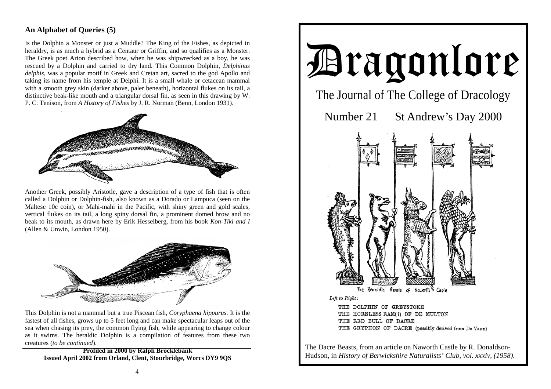## **An Alphabet of Queries (5)**

Is the Dolphin a Monster or just a Muddle? The King of the Fishes, as depicted in heraldry, is as much a hybrid as a Centaur or Griffin, and so qualifies as a Monster. The Greek poet Arion described how, when he was shipwrecked as a boy, he was rescued by a Dolphin and carried to dry land. This Common Dolphin, *Delphinus delphis*, was a popular motif in Greek and Cretan art, sacred to the god Apollo and taking its name from his temple at Delphi. It is a small whale or cetacean mammal with a smooth grey skin (darker above, paler beneath), horizontal flukes on its tail, a distinctive beak-like mouth and a triangular dorsal fin, as seen in this drawing by W. P. C. Tenison, from *A History of Fishes* by J. R. Norman (Benn, London 1931).



Another Greek, possibly Aristotle, gave a description of a type of fish that is often called a Dolphin or Dolphin-fish, also known as a Dorado or Lampuca (seen on the Maltese 10c coin), or Mahi-mahi in the Pacific, with shiny green and gold scales, vertical flukes on its tail, a long spiny dorsal fin, a prominent domed brow and no beak to its mouth, as drawn here by Erik Hesselberg, from his book *Kon-Tiki and I* (Allen & Unwin, London 1950).



This Dolphin is not a mammal but a true Piscean fish, *Coryphaena hippurus.* It is the fastest of all fishes, grows up to 5 feet long and can make spectacular leaps out of the sea when chasing its prey, the common flying fish, while appearing to change colour as it swims. The heraldic Dolphin is a compilation of features from these two creatures (*to be continued*).

**Profiled in 2000 by Ralph Brocklebank Issued April 2002 from Orland, Clent, Stourbridge, Worcs DY9 9QS** 



The Dacre Beasts, from an article on Naworth Castle by R. Donaldson-Hudson, in *History of Berwickshire Naturalists' Club, vol. xxxiv, (1958)*.